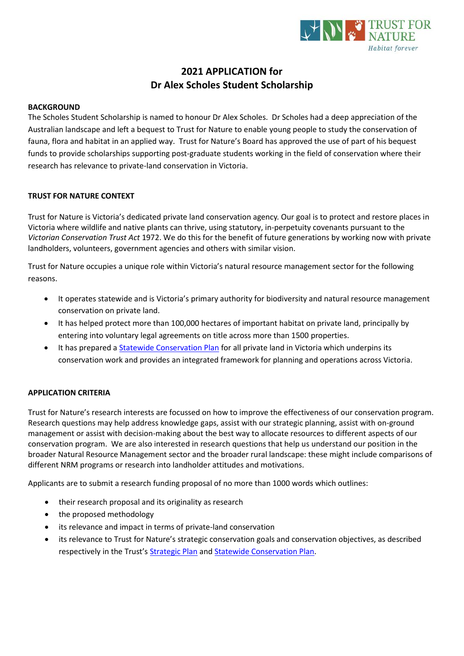

# **2021 APPLICATION for Dr Alex Scholes Student Scholarship**

#### **BACKGROUND**

The Scholes Student Scholarship is named to honour Dr Alex Scholes. Dr Scholes had a deep appreciation of the Australian landscape and left a bequest to Trust for Nature to enable young people to study the conservation of fauna, flora and habitat in an applied way. Trust for Nature's Board has approved the use of part of his bequest funds to provide scholarships supporting post-graduate students working in the field of conservation where their research has relevance to private-land conservation in Victoria.

### **TRUST FOR NATURE CONTEXT**

Trust for Nature is Victoria's dedicated private land conservation agency. Our goal is to protect and restore places in Victoria where wildlife and native plants can thrive, using statutory, in-perpetuity covenants pursuant to the *Victorian Conservation Trust Act* 1972. We do this for the benefit of future generations by working now with private landholders, volunteers, government agencies and others with similar vision.

Trust for Nature occupies a unique role within Victoria's natural resource management sector for the following reasons.

- It operates statewide and is Victoria's primary authority for biodiversity and natural resource management conservation on private land.
- It has helped protect more than 100,000 hectares of important habitat on private land, principally by entering into voluntary legal agreements on title across more than 1500 properties.
- It has prepared a [Statewide Conservation Plan](https://trustfornature.org.au/resources/statewide-conservation-plan/) for all private land in Victoria which underpins its conservation work and provides an integrated framework for planning and operations across Victoria.

#### **APPLICATION CRITERIA**

Trust for Nature's research interests are focussed on how to improve the effectiveness of our conservation program. Research questions may help address knowledge gaps, assist with our strategic planning, assist with on-ground management or assist with decision-making about the best way to allocate resources to different aspects of our conservation program. We are also interested in research questions that help us understand our position in the broader Natural Resource Management sector and the broader rural landscape: these might include comparisons of different NRM programs or research into landholder attitudes and motivations.

Applicants are to submit a research funding proposal of no more than 1000 words which outlines:

- their research proposal and its originality as research
- the proposed methodology
- its relevance and impact in terms of private-land conservation
- its relevance to Trust for Nature's strategic conservation goals and conservation objectives, as described respectively in the Trust's [Strategic Plan](https://trustfornature.org.au/wp-content/uploads/2020/11/TFN3489-StrategicPlan_2021WEB.pdf) and [Statewide Conservation Plan.](https://trustfornature.org.au/wp-content/uploads/2020/11/Trust-for-Nature-Statewide-Conservation-Plan.pdf)